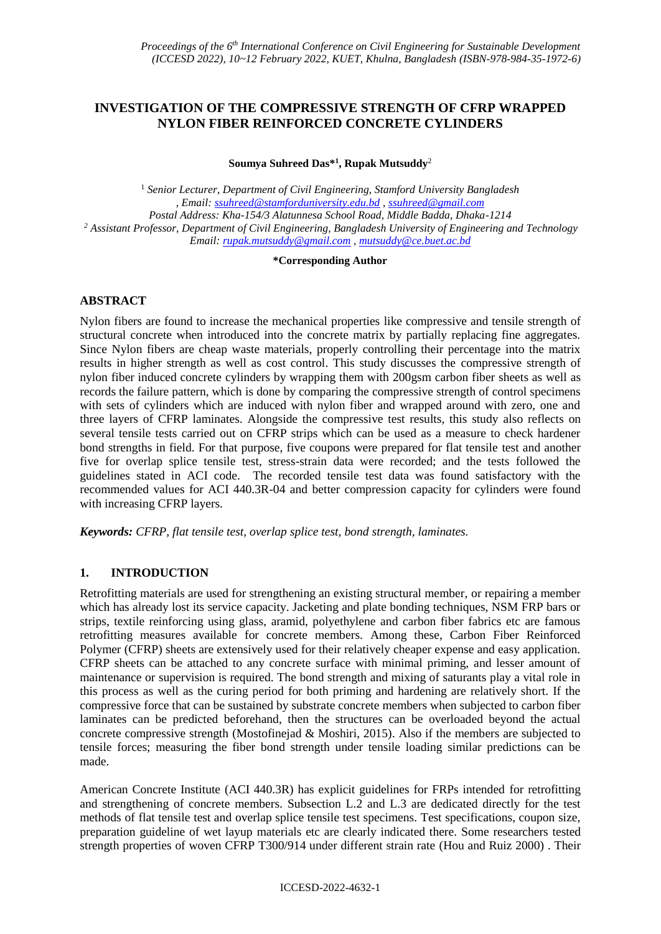# **INVESTIGATION OF THE COMPRESSIVE STRENGTH OF CFRP WRAPPED NYLON FIBER REINFORCED CONCRETE CYLINDERS**

**Soumya Suhreed Das\* 1 , Rupak Mutsuddy**<sup>2</sup>

<sup>1</sup> *Senior Lecturer, Department of Civil Engineering, Stamford University Bangladesh , Email: [ssuhreed@stamforduniversity.edu.bd](file:///C:/Users/R/Downloads/ssuhreed@stamforduniversity.edu.bd) , [ssuhreed@gmail.com](file:///C:/Users/R/Downloads/ssuhreed@gmail.com) Postal Address: Kha-154/3 Alatunnesa School Road, Middle Badda, Dhaka-1214 <sup>2</sup> Assistant Professor, Department of Civil Engineering, Bangladesh University of Engineering and Technology Email: [rupak.mutsuddy@gmail.com](file:///C:/Users/R/Downloads/rupak.mutsuddy@gmail.com) [, mutsuddy@ce.buet.ac.bd](mailto:mutsuddy@ce.buet.ac.bd)*

#### **\*Corresponding Author**

### **ABSTRACT**

Nylon fibers are found to increase the mechanical properties like compressive and tensile strength of structural concrete when introduced into the concrete matrix by partially replacing fine aggregates. Since Nylon fibers are cheap waste materials, properly controlling their percentage into the matrix results in higher strength as well as cost control. This study discusses the compressive strength of nylon fiber induced concrete cylinders by wrapping them with 200gsm carbon fiber sheets as well as records the failure pattern, which is done by comparing the compressive strength of control specimens with sets of cylinders which are induced with nylon fiber and wrapped around with zero, one and three layers of CFRP laminates. Alongside the compressive test results, this study also reflects on several tensile tests carried out on CFRP strips which can be used as a measure to check hardener bond strengths in field. For that purpose, five coupons were prepared for flat tensile test and another five for overlap splice tensile test, stress-strain data were recorded; and the tests followed the guidelines stated in ACI code. The recorded tensile test data was found satisfactory with the recommended values for ACI 440.3R-04 and better compression capacity for cylinders were found with increasing CFRP layers.

*Keywords: CFRP, flat tensile test, overlap splice test, bond strength, laminates.*

### **1. INTRODUCTION**

Retrofitting materials are used for strengthening an existing structural member, or repairing a member which has already lost its service capacity. Jacketing and plate bonding techniques, NSM FRP bars or strips, textile reinforcing using glass, aramid, polyethylene and carbon fiber fabrics etc are famous retrofitting measures available for concrete members. Among these, Carbon Fiber Reinforced Polymer (CFRP) sheets are extensively used for their relatively cheaper expense and easy application. CFRP sheets can be attached to any concrete surface with minimal priming, and lesser amount of maintenance or supervision is required. The bond strength and mixing of saturants play a vital role in this process as well as the curing period for both priming and hardening are relatively short. If the compressive force that can be sustained by substrate concrete members when subjected to carbon fiber laminates can be predicted beforehand, then the structures can be overloaded beyond the actual concrete compressive strength (Mostofinejad & Moshiri, 2015). Also if the members are subjected to tensile forces; measuring the fiber bond strength under tensile loading similar predictions can be made.

American Concrete Institute (ACI 440.3R) has explicit guidelines for FRPs intended for retrofitting and strengthening of concrete members. Subsection L.2 and L.3 are dedicated directly for the test methods of flat tensile test and overlap splice tensile test specimens. Test specifications, coupon size, preparation guideline of wet layup materials etc are clearly indicated there. Some researchers tested strength properties of woven CFRP T300/914 under different strain rate (Hou and Ruiz 2000) . Their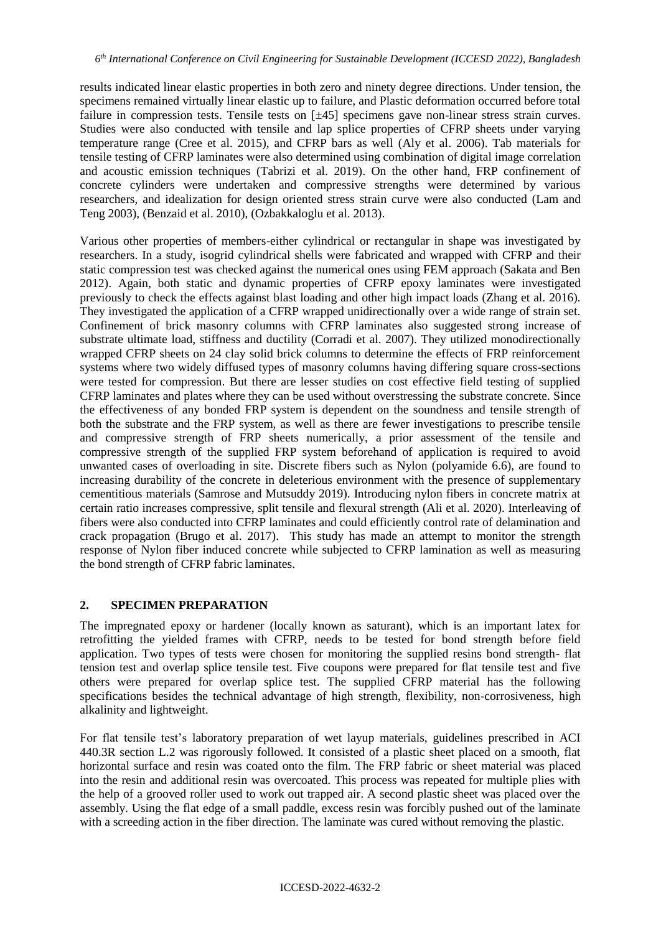results indicated linear elastic properties in both zero and ninety degree directions. Under tension, the specimens remained virtually linear elastic up to failure, and Plastic deformation occurred before total failure in compression tests. Tensile tests on  $[\pm 45]$  specimens gave non-linear stress strain curves. Studies were also conducted with tensile and lap splice properties of CFRP sheets under varying temperature range (Cree et al. 2015), and CFRP bars as well (Aly et al. 2006). Tab materials for tensile testing of CFRP laminates were also determined using combination of digital image correlation and acoustic emission techniques (Tabrizi et al. 2019). On the other hand, FRP confinement of concrete cylinders were undertaken and compressive strengths were determined by various researchers, and idealization for design oriented stress strain curve were also conducted (Lam and Teng 2003), (Benzaid et al. 2010), (Ozbakkaloglu et al. 2013).

Various other properties of members-either cylindrical or rectangular in shape was investigated by researchers. In a study, isogrid cylindrical shells were fabricated and wrapped with CFRP and their static compression test was checked against the numerical ones using FEM approach (Sakata and Ben 2012). Again, both static and dynamic properties of CFRP epoxy laminates were investigated previously to check the effects against blast loading and other high impact loads (Zhang et al. 2016). They investigated the application of a CFRP wrapped unidirectionally over a wide range of strain set. Confinement of brick masonry columns with CFRP laminates also suggested strong increase of substrate ultimate load, stiffness and ductility (Corradi et al. 2007). They utilized monodirectionally wrapped CFRP sheets on 24 clay solid brick columns to determine the effects of FRP reinforcement systems where two widely diffused types of masonry columns having differing square cross-sections were tested for compression. But there are lesser studies on cost effective field testing of supplied CFRP laminates and plates where they can be used without overstressing the substrate concrete. Since the effectiveness of any bonded FRP system is dependent on the soundness and tensile strength of both the substrate and the FRP system, as well as there are fewer investigations to prescribe tensile and compressive strength of FRP sheets numerically, a prior assessment of the tensile and compressive strength of the supplied FRP system beforehand of application is required to avoid unwanted cases of overloading in site. Discrete fibers such as Nylon (polyamide 6.6), are found to increasing durability of the concrete in deleterious environment with the presence of supplementary cementitious materials (Samrose and Mutsuddy 2019). Introducing nylon fibers in concrete matrix at certain ratio increases compressive, split tensile and flexural strength (Ali et al. 2020). Interleaving of fibers were also conducted into CFRP laminates and could efficiently control rate of delamination and crack propagation (Brugo et al. 2017). This study has made an attempt to monitor the strength response of Nylon fiber induced concrete while subjected to CFRP lamination as well as measuring the bond strength of CFRP fabric laminates.

## **2. SPECIMEN PREPARATION**

The impregnated epoxy or hardener (locally known as saturant), which is an important latex for retrofitting the yielded frames with CFRP, needs to be tested for bond strength before field application. Two types of tests were chosen for monitoring the supplied resins bond strength- flat tension test and overlap splice tensile test. Five coupons were prepared for flat tensile test and five others were prepared for overlap splice test. The supplied CFRP material has the following specifications besides the technical advantage of high strength, flexibility, non-corrosiveness, high alkalinity and lightweight.

For flat tensile test's laboratory preparation of wet layup materials, guidelines prescribed in ACI 440.3R section L.2 was rigorously followed. It consisted of a plastic sheet placed on a smooth, flat horizontal surface and resin was coated onto the film. The FRP fabric or sheet material was placed into the resin and additional resin was overcoated. This process was repeated for multiple plies with the help of a grooved roller used to work out trapped air. A second plastic sheet was placed over the assembly. Using the flat edge of a small paddle, excess resin was forcibly pushed out of the laminate with a screeding action in the fiber direction. The laminate was cured without removing the plastic.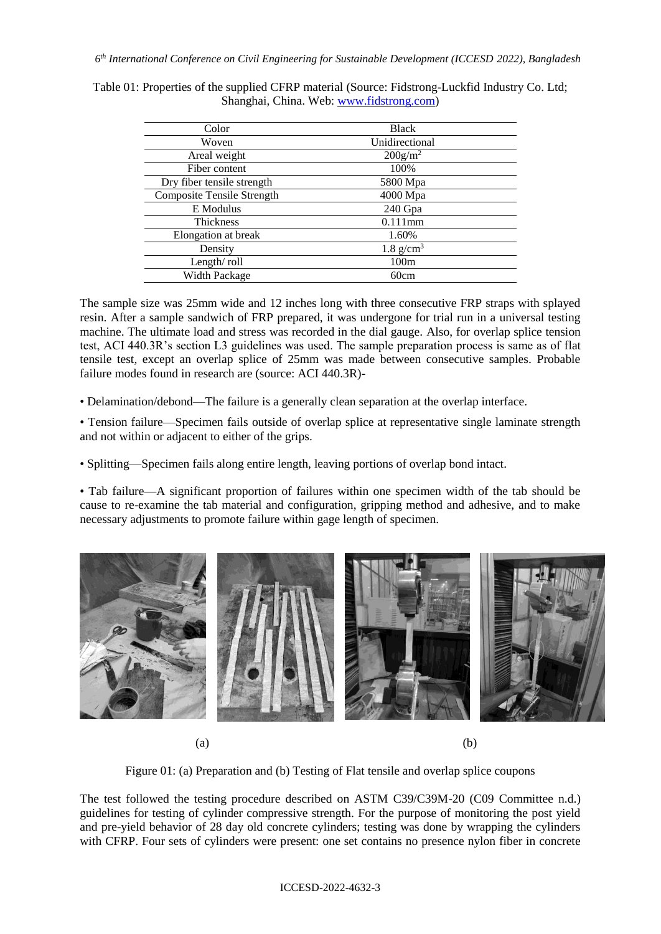| Color                             | <b>Black</b>            |  |
|-----------------------------------|-------------------------|--|
| Woven                             | Unidirectional          |  |
| Areal weight                      | $200$ g/m <sup>2</sup>  |  |
| Fiber content                     | 100%                    |  |
| Dry fiber tensile strength        | 5800 Mpa                |  |
| <b>Composite Tensile Strength</b> | 4000 Mpa                |  |
| E Modulus                         | $240$ Gpa               |  |
| <b>Thickness</b>                  | $0.111$ mm              |  |
| Elongation at break               | 1.60%                   |  |
| Density                           | $1.8$ g/cm <sup>3</sup> |  |
| Length/roll                       | 100 <sub>m</sub>        |  |
| <b>Width Package</b>              | 60cm                    |  |

Table 01: Properties of the supplied CFRP material (Source: Fidstrong-Luckfid Industry Co. Ltd; Shanghai, China. Web: [www.fidstrong.com\)](http://www.fidstrong.com/)

The sample size was 25mm wide and 12 inches long with three consecutive FRP straps with splayed resin. After a sample sandwich of FRP prepared, it was undergone for trial run in a universal testing machine. The ultimate load and stress was recorded in the dial gauge. Also, for overlap splice tension test, ACI 440.3R's section L3 guidelines was used. The sample preparation process is same as of flat tensile test, except an overlap splice of 25mm was made between consecutive samples. Probable failure modes found in research are (source: ACI 440.3R)-

• Delamination/debond—The failure is a generally clean separation at the overlap interface.

• Tension failure—Specimen fails outside of overlap splice at representative single laminate strength and not within or adjacent to either of the grips.

• Splitting—Specimen fails along entire length, leaving portions of overlap bond intact.

• Tab failure—A significant proportion of failures within one specimen width of the tab should be cause to re-examine the tab material and configuration, gripping method and adhesive, and to make necessary adjustments to promote failure within gage length of specimen.



 $(a)$  (b)

Figure 01: (a) Preparation and (b) Testing of Flat tensile and overlap splice coupons

The test followed the testing procedure described on ASTM C39/C39M-20 (C09 Committee n.d.) guidelines for testing of cylinder compressive strength. For the purpose of monitoring the post yield and pre-yield behavior of 28 day old concrete cylinders; testing was done by wrapping the cylinders with CFRP. Four sets of cylinders were present: one set contains no presence nylon fiber in concrete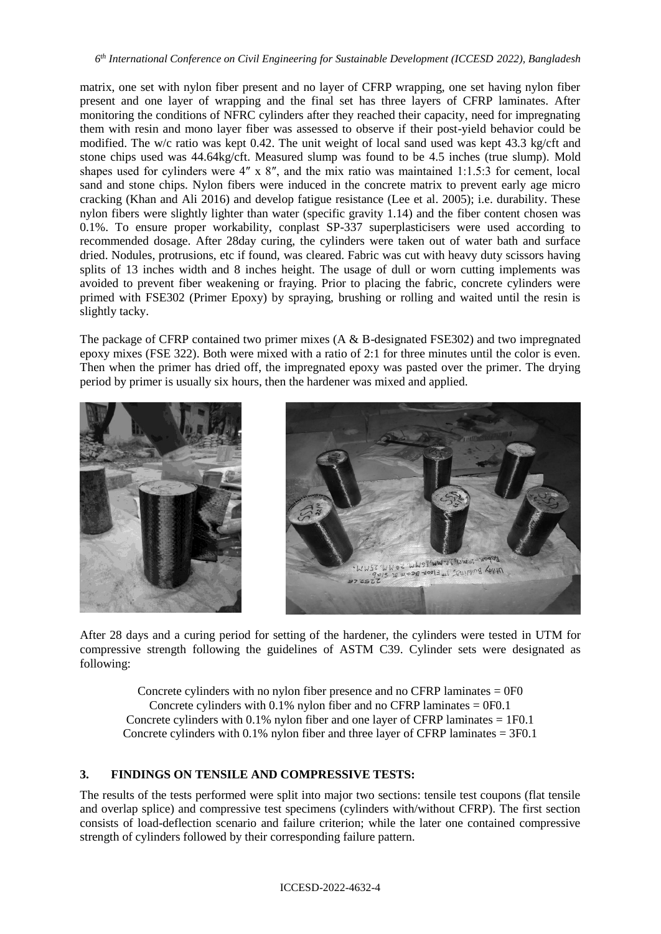matrix, one set with nylon fiber present and no layer of CFRP wrapping, one set having nylon fiber present and one layer of wrapping and the final set has three layers of CFRP laminates. After monitoring the conditions of NFRC cylinders after they reached their capacity, need for impregnating them with resin and mono layer fiber was assessed to observe if their post-yield behavior could be modified. The w/c ratio was kept 0.42. The unit weight of local sand used was kept 43.3 kg/cft and stone chips used was 44.64kg/cft. Measured slump was found to be 4.5 inches (true slump). Mold shapes used for cylinders were 4″ x 8″, and the mix ratio was maintained 1:1.5:3 for cement, local sand and stone chips. Nylon fibers were induced in the concrete matrix to prevent early age micro cracking (Khan and Ali 2016) and develop fatigue resistance (Lee et al. 2005); i.e. durability. These nylon fibers were slightly lighter than water (specific gravity 1.14) and the fiber content chosen was 0.1%. To ensure proper workability, conplast SP-337 superplasticisers were used according to recommended dosage. After 28day curing, the cylinders were taken out of water bath and surface dried. Nodules, protrusions, etc if found, was cleared. Fabric was cut with heavy duty scissors having splits of 13 inches width and 8 inches height. The usage of dull or worn cutting implements was avoided to prevent fiber weakening or fraying. Prior to placing the fabric, concrete cylinders were primed with FSE302 (Primer Epoxy) by spraying, brushing or rolling and waited until the resin is slightly tacky.

The package of CFRP contained two primer mixes (A & B-designated FSE302) and two impregnated epoxy mixes (FSE 322). Both were mixed with a ratio of 2:1 for three minutes until the color is even. Then when the primer has dried off, the impregnated epoxy was pasted over the primer. The drying period by primer is usually six hours, then the hardener was mixed and applied.



After 28 days and a curing period for setting of the hardener, the cylinders were tested in UTM for compressive strength following the guidelines of ASTM C39. Cylinder sets were designated as following:

Concrete cylinders with no nylon fiber presence and no CFRP laminates  $=$  0F0 Concrete cylinders with  $0.1\%$  nylon fiber and no CFRP laminates = 0F0.1 Concrete cylinders with  $0.1\%$  nylon fiber and one layer of CFRP laminates = 1F0.1 Concrete cylinders with  $0.1\%$  nylon fiber and three layer of CFRP laminates = 3F0.1

## **3. FINDINGS ON TENSILE AND COMPRESSIVE TESTS:**

The results of the tests performed were split into major two sections: tensile test coupons (flat tensile and overlap splice) and compressive test specimens (cylinders with/without CFRP). The first section consists of load-deflection scenario and failure criterion; while the later one contained compressive strength of cylinders followed by their corresponding failure pattern.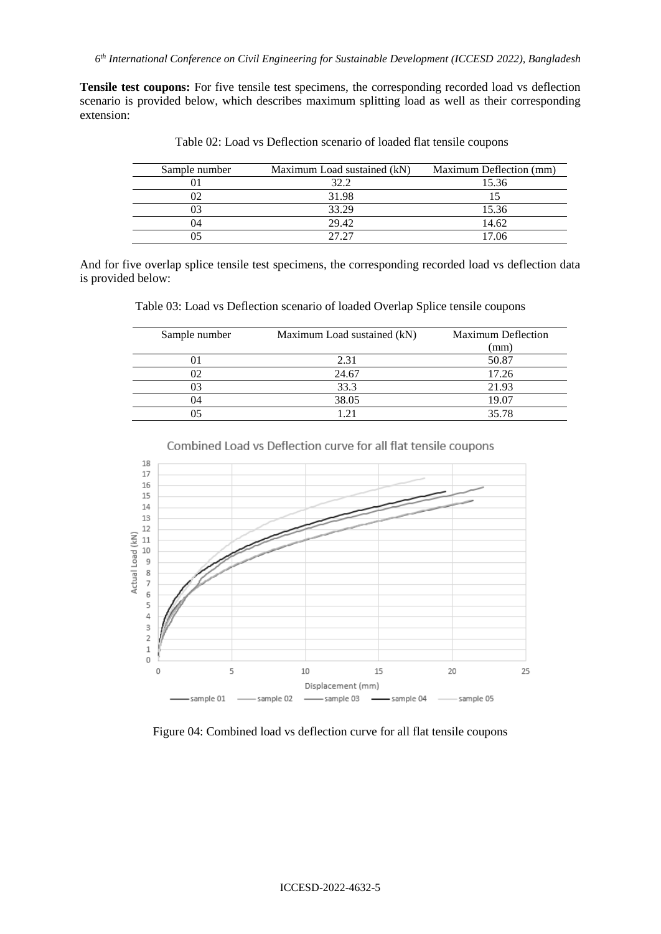**Tensile test coupons:** For five tensile test specimens, the corresponding recorded load vs deflection scenario is provided below, which describes maximum splitting load as well as their corresponding extension:

| Sample number | Maximum Load sustained (kN) | Maximum Deflection (mm) |
|---------------|-----------------------------|-------------------------|
|               | 32.2                        | 15.36                   |
|               | 31.98                       |                         |
|               | 33.29                       | 15.36                   |
| 04            | 29.42                       | 14.62                   |
|               | 27 27                       | 17 06                   |

Table 02: Load vs Deflection scenario of loaded flat tensile coupons

And for five overlap splice tensile test specimens, the corresponding recorded load vs deflection data is provided below:

Table 03: Load vs Deflection scenario of loaded Overlap Splice tensile coupons

| Sample number | Maximum Load sustained (kN) | <b>Maximum Deflection</b> |
|---------------|-----------------------------|---------------------------|
|               |                             | (mm)                      |
|               | 2.31                        | 50.87                     |
| 02            | 24.67                       | 17.26                     |
| 03            | 33.3                        | 21.93                     |
| 04            | 38.05                       | 19.07                     |
|               | l 71                        | 35.78                     |





Figure 04: Combined load vs deflection curve for all flat tensile coupons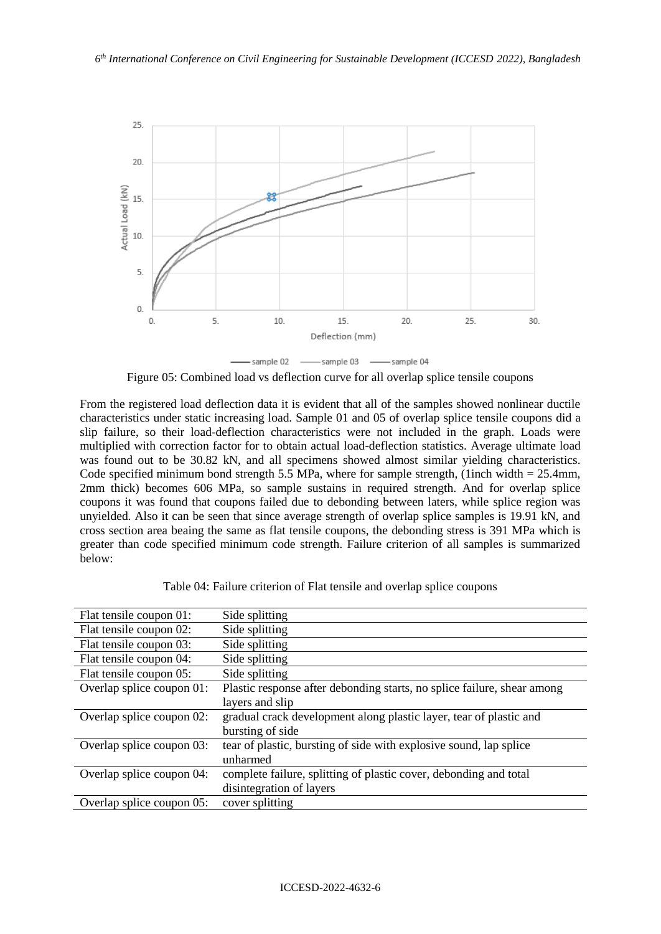

Figure 05: Combined load vs deflection curve for all overlap splice tensile coupons

From the registered load deflection data it is evident that all of the samples showed nonlinear ductile characteristics under static increasing load. Sample 01 and 05 of overlap splice tensile coupons did a slip failure, so their load-deflection characteristics were not included in the graph. Loads were multiplied with correction factor for to obtain actual load-deflection statistics. Average ultimate load was found out to be 30.82 kN, and all specimens showed almost similar yielding characteristics. Code specified minimum bond strength 5.5 MPa, where for sample strength, (1inch width  $= 25.4$ mm, 2mm thick) becomes 606 MPa, so sample sustains in required strength. And for overlap splice coupons it was found that coupons failed due to debonding between laters, while splice region was unyielded. Also it can be seen that since average strength of overlap splice samples is 19.91 kN, and cross section area beaing the same as flat tensile coupons, the debonding stress is 391 MPa which is greater than code specified minimum code strength. Failure criterion of all samples is summarized below:

| Flat tensile coupon 01:   | Side splitting                                                          |
|---------------------------|-------------------------------------------------------------------------|
| Flat tensile coupon 02:   | Side splitting                                                          |
| Flat tensile coupon 03:   | Side splitting                                                          |
| Flat tensile coupon 04:   | Side splitting                                                          |
| Flat tensile coupon 05:   | Side splitting                                                          |
| Overlap splice coupon 01: | Plastic response after debonding starts, no splice failure, shear among |
|                           | layers and slip                                                         |
| Overlap splice coupon 02: | gradual crack development along plastic layer, tear of plastic and      |
|                           | bursting of side                                                        |
| Overlap splice coupon 03: | tear of plastic, bursting of side with explosive sound, lap splice      |
|                           | unharmed                                                                |
| Overlap splice coupon 04: | complete failure, splitting of plastic cover, debonding and total       |
|                           | disintegration of layers                                                |
| Overlap splice coupon 05: | cover splitting                                                         |

Table 04: Failure criterion of Flat tensile and overlap splice coupons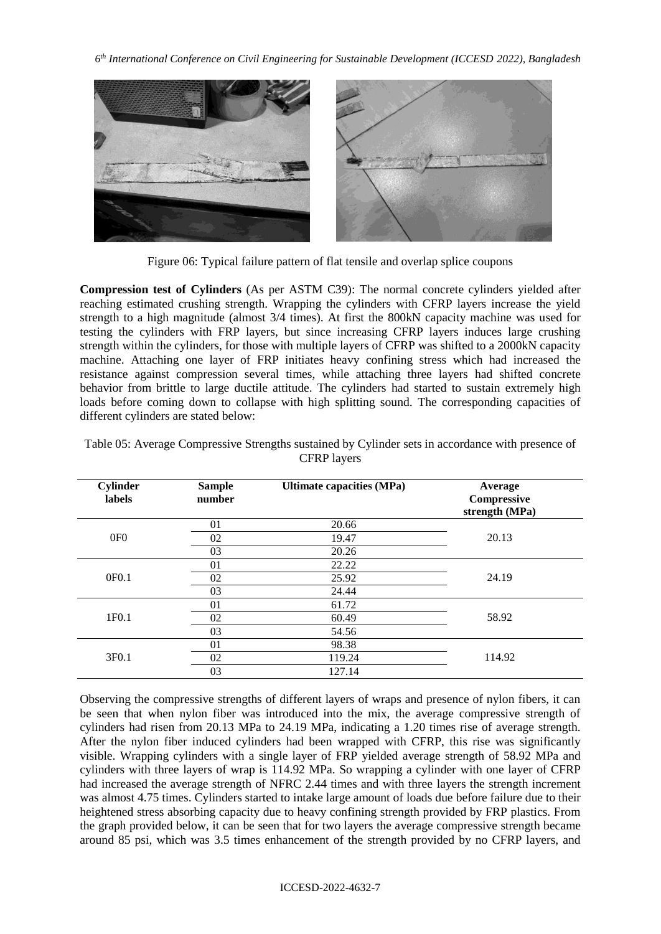*6 th International Conference on Civil Engineering for Sustainable Development (ICCESD 2022), Bangladesh*



Figure 06: Typical failure pattern of flat tensile and overlap splice coupons

**Compression test of Cylinders** (As per ASTM C39): The normal concrete cylinders yielded after reaching estimated crushing strength. Wrapping the cylinders with CFRP layers increase the yield strength to a high magnitude (almost 3/4 times). At first the 800kN capacity machine was used for testing the cylinders with FRP layers, but since increasing CFRP layers induces large crushing strength within the cylinders, for those with multiple layers of CFRP was shifted to a 2000kN capacity machine. Attaching one layer of FRP initiates heavy confining stress which had increased the resistance against compression several times, while attaching three layers had shifted concrete behavior from brittle to large ductile attitude. The cylinders had started to sustain extremely high loads before coming down to collapse with high splitting sound. The corresponding capacities of different cylinders are stated below:

| <b>Cylinder</b><br>labels | <b>Sample</b><br>number | <b>Ultimate capacities (MPa)</b> | Average<br>Compressive<br>strength (MPa) |
|---------------------------|-------------------------|----------------------------------|------------------------------------------|
|                           | 01                      | 20.66                            |                                          |
| 0F <sub>0</sub>           | 02                      | 19.47                            | 20.13                                    |
|                           | 03                      | 20.26                            |                                          |
|                           | 01                      | 22.22                            |                                          |
| 0F0.1                     | 02                      | 25.92                            | 24.19                                    |
|                           | 03                      | 24.44                            |                                          |
|                           | 01                      | 61.72                            |                                          |
| 1F <sub>0.1</sub>         | 02                      | 60.49                            | 58.92                                    |
|                           | 03                      | 54.56                            |                                          |
|                           | 01                      | 98.38                            |                                          |
| 3F <sub>0.1</sub>         | 02                      | 119.24                           | 114.92                                   |
|                           | 03                      | 127.14                           |                                          |

Table 05: Average Compressive Strengths sustained by Cylinder sets in accordance with presence of CFRP layers

Observing the compressive strengths of different layers of wraps and presence of nylon fibers, it can be seen that when nylon fiber was introduced into the mix, the average compressive strength of cylinders had risen from 20.13 MPa to 24.19 MPa, indicating a 1.20 times rise of average strength. After the nylon fiber induced cylinders had been wrapped with CFRP, this rise was significantly visible. Wrapping cylinders with a single layer of FRP yielded average strength of 58.92 MPa and cylinders with three layers of wrap is 114.92 MPa. So wrapping a cylinder with one layer of CFRP had increased the average strength of NFRC 2.44 times and with three layers the strength increment was almost 4.75 times. Cylinders started to intake large amount of loads due before failure due to their heightened stress absorbing capacity due to heavy confining strength provided by FRP plastics. From the graph provided below, it can be seen that for two layers the average compressive strength became around 85 psi, which was 3.5 times enhancement of the strength provided by no CFRP layers, and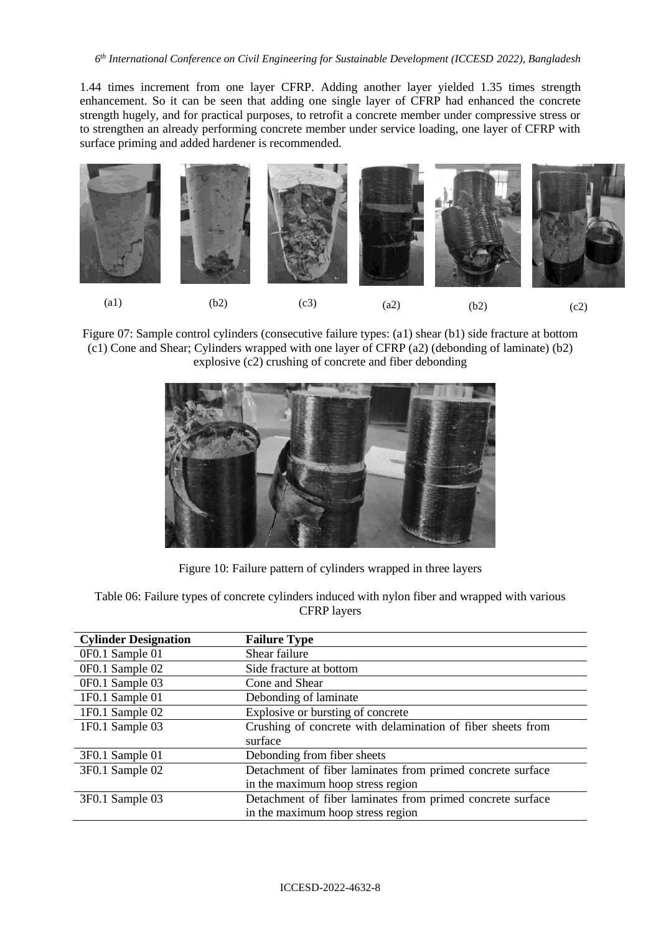1.44 times increment from one layer CFRP. Adding another layer yielded 1.35 times strength enhancement. So it can be seen that adding one single layer of CFRP had enhanced the concrete strength hugely, and for practical purposes, to retrofit a concrete member under compressive stress or to strengthen an already performing concrete member under service loading, one layer of CFRP with surface priming and added hardener is recommended.



Figure 07: Sample control cylinders (consecutive failure types: (a1) shear (b1) side fracture at bottom (c1) Cone and Shear; Cylinders wrapped with one layer of CFRP (a2) (debonding of laminate) (b2) explosive (c2) crushing of concrete and fiber debonding



Figure 10: Failure pattern of cylinders wrapped in three layers

Table 06: Failure types of concrete cylinders induced with nylon fiber and wrapped with various CFRP layers

| <b>Cylinder Designation</b> | <b>Failure Type</b>                                         |
|-----------------------------|-------------------------------------------------------------|
| 0F0.1 Sample 01             | Shear failure                                               |
| 0F0.1 Sample 02             | Side fracture at bottom                                     |
| 0F0.1 Sample 03             | Cone and Shear                                              |
| 1F0.1 Sample 01             | Debonding of laminate                                       |
| 1F0.1 Sample 02             | Explosive or bursting of concrete                           |
| 1F0.1 Sample 03             | Crushing of concrete with delamination of fiber sheets from |
|                             | surface                                                     |
| 3F0.1 Sample 01             | Debonding from fiber sheets                                 |
| 3F0.1 Sample 02             | Detachment of fiber laminates from primed concrete surface  |
|                             | in the maximum hoop stress region                           |
| 3F0.1 Sample 03             | Detachment of fiber laminates from primed concrete surface  |
|                             | in the maximum hoop stress region                           |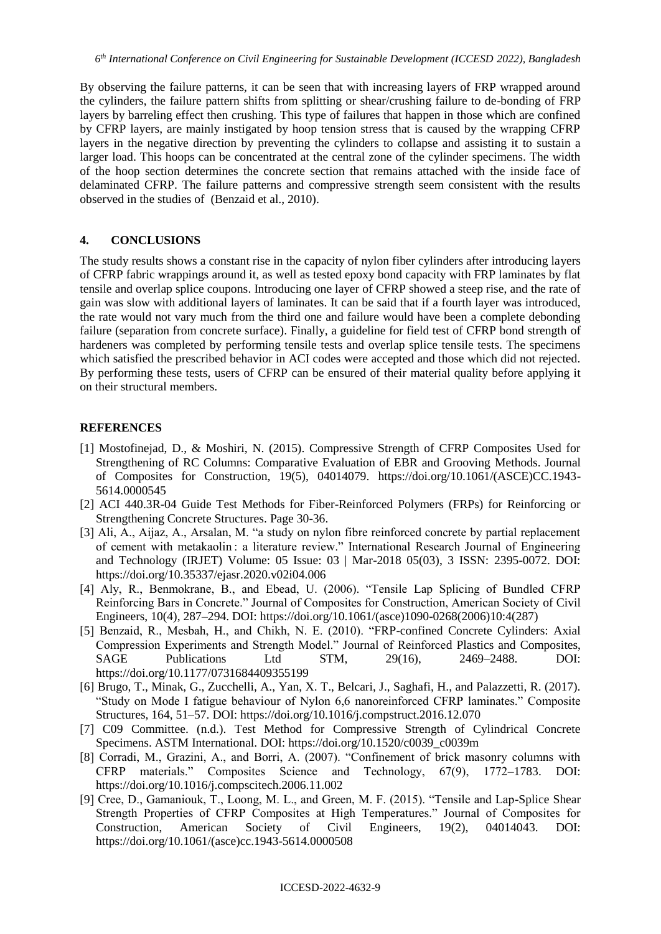By observing the failure patterns, it can be seen that with increasing layers of FRP wrapped around the cylinders, the failure pattern shifts from splitting or shear/crushing failure to de-bonding of FRP layers by barreling effect then crushing. This type of failures that happen in those which are confined by CFRP layers, are mainly instigated by hoop tension stress that is caused by the wrapping CFRP layers in the negative direction by preventing the cylinders to collapse and assisting it to sustain a larger load. This hoops can be concentrated at the central zone of the cylinder specimens. The width of the hoop section determines the concrete section that remains attached with the inside face of delaminated CFRP. The failure patterns and compressive strength seem consistent with the results observed in the studies of (Benzaid et al., 2010).

### **4. CONCLUSIONS**

The study results shows a constant rise in the capacity of nylon fiber cylinders after introducing layers of CFRP fabric wrappings around it, as well as tested epoxy bond capacity with FRP laminates by flat tensile and overlap splice coupons. Introducing one layer of CFRP showed a steep rise, and the rate of gain was slow with additional layers of laminates. It can be said that if a fourth layer was introduced, the rate would not vary much from the third one and failure would have been a complete debonding failure (separation from concrete surface). Finally, a guideline for field test of CFRP bond strength of hardeners was completed by performing tensile tests and overlap splice tensile tests. The specimens which satisfied the prescribed behavior in ACI codes were accepted and those which did not rejected. By performing these tests, users of CFRP can be ensured of their material quality before applying it on their structural members.

### **REFERENCES**

- [1] Mostofinejad, D., & Moshiri, N. (2015). Compressive Strength of CFRP Composites Used for Strengthening of RC Columns: Comparative Evaluation of EBR and Grooving Methods. Journal of Composites for Construction, 19(5), 04014079. https://doi.org/10.1061/(ASCE)CC.1943- 5614.0000545
- [2] ACI 440.3R-04 Guide Test Methods for Fiber-Reinforced Polymers (FRPs) for Reinforcing or Strengthening Concrete Structures. Page 30-36.
- [3] Ali, A., Aijaz, A., Arsalan, M. "a study on nylon fibre reinforced concrete by partial replacement of cement with metakaolin : a literature review." International Research Journal of Engineering and Technology (IRJET) Volume: 05 Issue: 03 | Mar-2018 05(03), 3 ISSN: 2395-0072. DOI: https://doi.org/10.35337/ejasr.2020.v02i04.006
- [4] Aly, R., Benmokrane, B., and Ebead, U. (2006). "Tensile Lap Splicing of Bundled CFRP Reinforcing Bars in Concrete." Journal of Composites for Construction, American Society of Civil Engineers, 10(4), 287–294. DOI: https://doi.org/10.1061/(asce)1090-0268(2006)10:4(287)
- [5] Benzaid, R., Mesbah, H., and Chikh, N. E. (2010). "FRP-confined Concrete Cylinders: Axial Compression Experiments and Strength Model." Journal of Reinforced Plastics and Composites, SAGE Publications Ltd STM, 29(16), 2469–2488. DOI: https://doi.org/10.1177/0731684409355199
- [6] Brugo, T., Minak, G., Zucchelli, A., Yan, X. T., Belcari, J., Saghafi, H., and Palazzetti, R. (2017). "Study on Mode I fatigue behaviour of Nylon 6,6 nanoreinforced CFRP laminates." Composite Structures, 164, 51–57. DOI: https://doi.org/10.1016/j.compstruct.2016.12.070
- [7] C09 Committee. (n.d.). Test Method for Compressive Strength of Cylindrical Concrete Specimens. ASTM International. DOI: https://doi.org/10.1520/c0039\_c0039m
- [8] Corradi, M., Grazini, A., and Borri, A. (2007). "Confinement of brick masonry columns with CFRP materials." Composites Science and Technology, 67(9), 1772–1783. DOI: https://doi.org/10.1016/j.compscitech.2006.11.002
- [9] Cree, D., Gamaniouk, T., Loong, M. L., and Green, M. F. (2015). "Tensile and Lap-Splice Shear Strength Properties of CFRP Composites at High Temperatures." Journal of Composites for Construction, American Society of Civil Engineers, 19(2), 04014043. DOI: https://doi.org/10.1061/(asce)cc.1943-5614.0000508